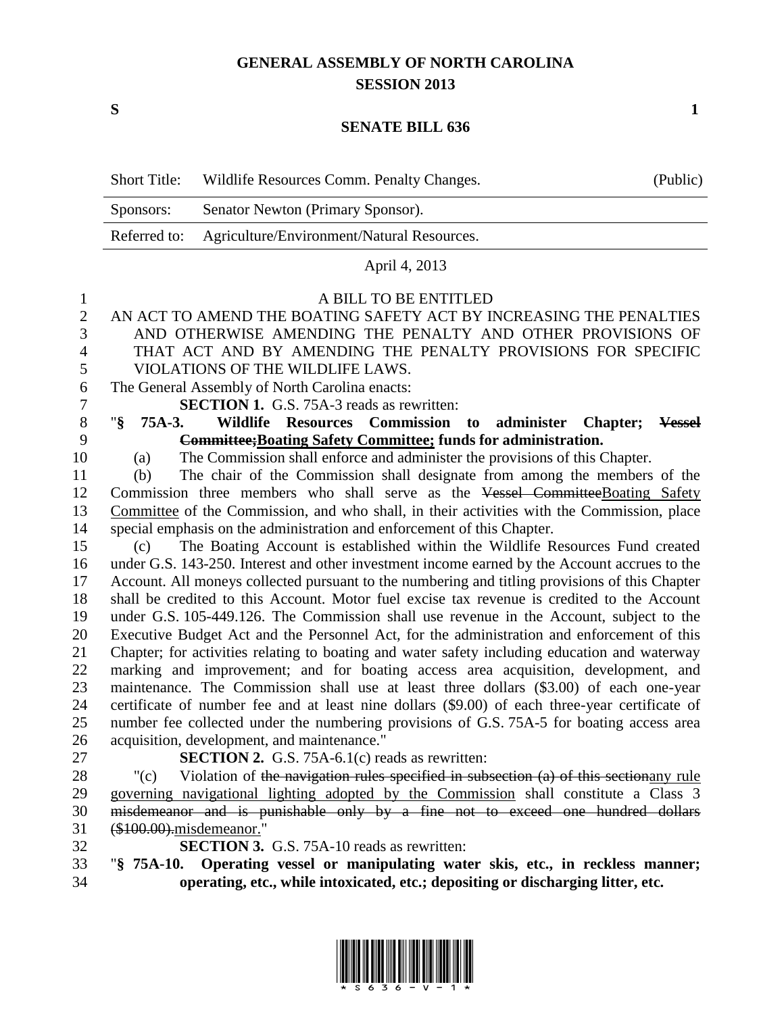## **GENERAL ASSEMBLY OF NORTH CAROLINA SESSION 2013**

**S 1**

## **SENATE BILL 636**

|              | <b>Short Title:</b>                                          | Wildlife Resources Comm. Penalty Changes.                                                                                                                                                     | (Public)      |  |  |
|--------------|--------------------------------------------------------------|-----------------------------------------------------------------------------------------------------------------------------------------------------------------------------------------------|---------------|--|--|
|              | Sponsors:                                                    | Senator Newton (Primary Sponsor).                                                                                                                                                             |               |  |  |
|              | Referred to:                                                 | Agriculture/Environment/Natural Resources.                                                                                                                                                    |               |  |  |
|              |                                                              | April 4, 2013                                                                                                                                                                                 |               |  |  |
| 1            |                                                              | A BILL TO BE ENTITLED                                                                                                                                                                         |               |  |  |
| $\mathbf{2}$ |                                                              | AN ACT TO AMEND THE BOATING SAFETY ACT BY INCREASING THE PENALTIES                                                                                                                            |               |  |  |
| 3            |                                                              | AND OTHERWISE AMENDING THE PENALTY AND OTHER PROVISIONS OF                                                                                                                                    |               |  |  |
| 4            | THAT ACT AND BY AMENDING THE PENALTY PROVISIONS FOR SPECIFIC |                                                                                                                                                                                               |               |  |  |
| 5            |                                                              | VIOLATIONS OF THE WILDLIFE LAWS.                                                                                                                                                              |               |  |  |
| 6            |                                                              | The General Assembly of North Carolina enacts:                                                                                                                                                |               |  |  |
| 7            |                                                              | <b>SECTION 1.</b> G.S. 75A-3 reads as rewritten:                                                                                                                                              |               |  |  |
| $8\,$        | " $\mathbf{\S}$<br>75A-3.                                    | Wildlife Resources Commission<br>to<br>administer Chapter;                                                                                                                                    | <b>Vessel</b> |  |  |
| 9            |                                                              | Committee; Boating Safety Committee; funds for administration.                                                                                                                                |               |  |  |
| 10           | (a)                                                          | The Commission shall enforce and administer the provisions of this Chapter.                                                                                                                   |               |  |  |
| 11           | (b)                                                          | The chair of the Commission shall designate from among the members of the                                                                                                                     |               |  |  |
| 12           |                                                              | Commission three members who shall serve as the Vessel Committee Boating Safety                                                                                                               |               |  |  |
| 13           |                                                              | Committee of the Commission, and who shall, in their activities with the Commission, place                                                                                                    |               |  |  |
| 14           |                                                              | special emphasis on the administration and enforcement of this Chapter.                                                                                                                       |               |  |  |
| 15           | (c)                                                          | The Boating Account is established within the Wildlife Resources Fund created                                                                                                                 |               |  |  |
| 16           |                                                              | under G.S. 143-250. Interest and other investment income earned by the Account accrues to the                                                                                                 |               |  |  |
| 17<br>18     |                                                              | Account. All moneys collected pursuant to the numbering and titling provisions of this Chapter<br>shall be credited to this Account. Motor fuel excise tax revenue is credited to the Account |               |  |  |
| 19           |                                                              | under G.S. 105-449.126. The Commission shall use revenue in the Account, subject to the                                                                                                       |               |  |  |
| 20           |                                                              | Executive Budget Act and the Personnel Act, for the administration and enforcement of this                                                                                                    |               |  |  |
| 21           |                                                              | Chapter; for activities relating to boating and water safety including education and waterway                                                                                                 |               |  |  |
| 22           |                                                              | marking and improvement; and for boating access area acquisition, development, and                                                                                                            |               |  |  |
| 23           |                                                              | maintenance. The Commission shall use at least three dollars (\$3.00) of each one-year                                                                                                        |               |  |  |
| 24           |                                                              | certificate of number fee and at least nine dollars (\$9.00) of each three-year certificate of                                                                                                |               |  |  |
| 25           |                                                              | number fee collected under the numbering provisions of G.S. 75A-5 for boating access area                                                                                                     |               |  |  |
| 26           |                                                              | acquisition, development, and maintenance."                                                                                                                                                   |               |  |  |
| 27           |                                                              | <b>SECTION 2.</b> G.S. 75A-6.1(c) reads as rewritten:                                                                                                                                         |               |  |  |
| 28           | " $(c)$                                                      | Violation of the navigation rules specified in subsection (a) of this sectionary rule                                                                                                         |               |  |  |
| 29           |                                                              | governing navigational lighting adopted by the Commission shall constitute a Class 3                                                                                                          |               |  |  |
| 30           |                                                              | misdemeanor and is punishable only by a fine not to exceed one hundred dollars                                                                                                                |               |  |  |
| 31           | (\$100.00).misdemeanor."                                     |                                                                                                                                                                                               |               |  |  |
| 32           |                                                              | <b>SECTION 3.</b> G.S. 75A-10 reads as rewritten:                                                                                                                                             |               |  |  |
| 33           | " $$75A-10.$                                                 | Operating vessel or manipulating water skis, etc., in reckless manner;                                                                                                                        |               |  |  |

**operating, etc., while intoxicated, etc.; depositing or discharging litter, etc.**

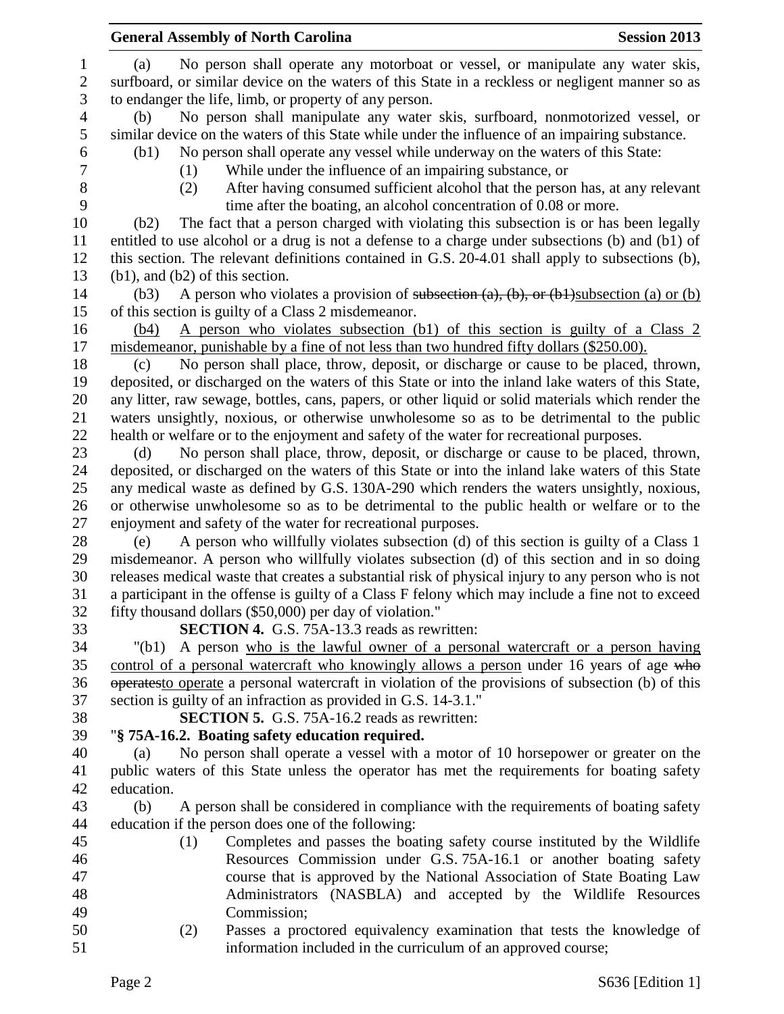|                  | <b>General Assembly of North Carolina</b>                                                                                                                                                   | <b>Session 2013</b> |
|------------------|---------------------------------------------------------------------------------------------------------------------------------------------------------------------------------------------|---------------------|
| $\mathbf{1}$     | No person shall operate any motorboat or vessel, or manipulate any water skis,<br>(a)                                                                                                       |                     |
| $\boldsymbol{2}$ | surfboard, or similar device on the waters of this State in a reckless or negligent manner so as                                                                                            |                     |
| 3                | to endanger the life, limb, or property of any person.                                                                                                                                      |                     |
| $\overline{4}$   | No person shall manipulate any water skis, surfboard, nonmotorized vessel, or<br>(b)                                                                                                        |                     |
| 5                | similar device on the waters of this State while under the influence of an impairing substance.                                                                                             |                     |
| 6                | No person shall operate any vessel while underway on the waters of this State:<br>(b1)                                                                                                      |                     |
| $\tau$           | While under the influence of an impairing substance, or<br>(1)                                                                                                                              |                     |
| 8                | After having consumed sufficient alcohol that the person has, at any relevant<br>(2)                                                                                                        |                     |
| 9                | time after the boating, an alcohol concentration of 0.08 or more.                                                                                                                           |                     |
| 10               | The fact that a person charged with violating this subsection is or has been legally<br>(b2)                                                                                                |                     |
| 11               | entitled to use alcohol or a drug is not a defense to a charge under subsections (b) and (b1) of                                                                                            |                     |
| 12               | this section. The relevant definitions contained in G.S. 20-4.01 shall apply to subsections (b),                                                                                            |                     |
| 13               | $(b1)$ , and $(b2)$ of this section.                                                                                                                                                        |                     |
| 14               | A person who violates a provision of subsection $(a)$ , $(b)$ , or $(b)$ subsection $(a)$ or $(b)$<br>(b3)                                                                                  |                     |
| 15               | of this section is guilty of a Class 2 misdemeanor.                                                                                                                                         |                     |
| 16               | A person who violates subsection (b1) of this section is guilty of a Class 2<br>(b4)                                                                                                        |                     |
| 17               | misdemeanor, punishable by a fine of not less than two hundred fifty dollars (\$250.00).                                                                                                    |                     |
| 18               | No person shall place, throw, deposit, or discharge or cause to be placed, thrown,<br>(c)                                                                                                   |                     |
| 19               | deposited, or discharged on the waters of this State or into the inland lake waters of this State,                                                                                          |                     |
| 20               | any litter, raw sewage, bottles, cans, papers, or other liquid or solid materials which render the                                                                                          |                     |
| 21               | waters unsightly, noxious, or otherwise unwholesome so as to be detrimental to the public                                                                                                   |                     |
| 22               | health or welfare or to the enjoyment and safety of the water for recreational purposes.                                                                                                    |                     |
| 23               | No person shall place, throw, deposit, or discharge or cause to be placed, thrown,<br>(d)                                                                                                   |                     |
| 24               | deposited, or discharged on the waters of this State or into the inland lake waters of this State                                                                                           |                     |
| 25               | any medical waste as defined by G.S. 130A-290 which renders the waters unsightly, noxious,                                                                                                  |                     |
| 26               | or otherwise unwholesome so as to be detrimental to the public health or welfare or to the                                                                                                  |                     |
| 27               | enjoyment and safety of the water for recreational purposes.                                                                                                                                |                     |
| 28               | A person who willfully violates subsection (d) of this section is guilty of a Class 1<br>(e)                                                                                                |                     |
| 29               | misdemeanor. A person who willfully violates subsection (d) of this section and in so doing                                                                                                 |                     |
| 30               | releases medical waste that creates a substantial risk of physical injury to any person who is not                                                                                          |                     |
| 31               | a participant in the offense is guilty of a Class F felony which may include a fine not to exceed                                                                                           |                     |
| 32               | fifty thousand dollars (\$50,000) per day of violation."                                                                                                                                    |                     |
| 33               | <b>SECTION 4.</b> G.S. 75A-13.3 reads as rewritten:                                                                                                                                         |                     |
| 34               | A person who is the lawful owner of a personal watercraft or a person having<br>"(b1)                                                                                                       |                     |
| 35<br>36         | control of a personal watercraft who knowingly allows a person under 16 years of age who<br>operates operate a personal watercraft in violation of the provisions of subsection (b) of this |                     |
| 37               | section is guilty of an infraction as provided in G.S. 14-3.1."                                                                                                                             |                     |
| 38               | <b>SECTION 5.</b> G.S. 75A-16.2 reads as rewritten:                                                                                                                                         |                     |
| 39               | "§ 75A-16.2. Boating safety education required.                                                                                                                                             |                     |
| 40               | No person shall operate a vessel with a motor of 10 horsepower or greater on the<br>(a)                                                                                                     |                     |
| 41               | public waters of this State unless the operator has met the requirements for boating safety                                                                                                 |                     |
| 42               | education.                                                                                                                                                                                  |                     |
| 43               | A person shall be considered in compliance with the requirements of boating safety<br>(b)                                                                                                   |                     |
| 44               | education if the person does one of the following:                                                                                                                                          |                     |
| 45               | Completes and passes the boating safety course instituted by the Wildlife<br>(1)                                                                                                            |                     |
| 46               | Resources Commission under G.S. 75A-16.1 or another boating safety                                                                                                                          |                     |
| 47               | course that is approved by the National Association of State Boating Law                                                                                                                    |                     |
| 48               | Administrators (NASBLA) and accepted by the Wildlife Resources                                                                                                                              |                     |
| 49               | Commission;                                                                                                                                                                                 |                     |
| 50               | Passes a proctored equivalency examination that tests the knowledge of<br>(2)                                                                                                               |                     |
| 51               | information included in the curriculum of an approved course;                                                                                                                               |                     |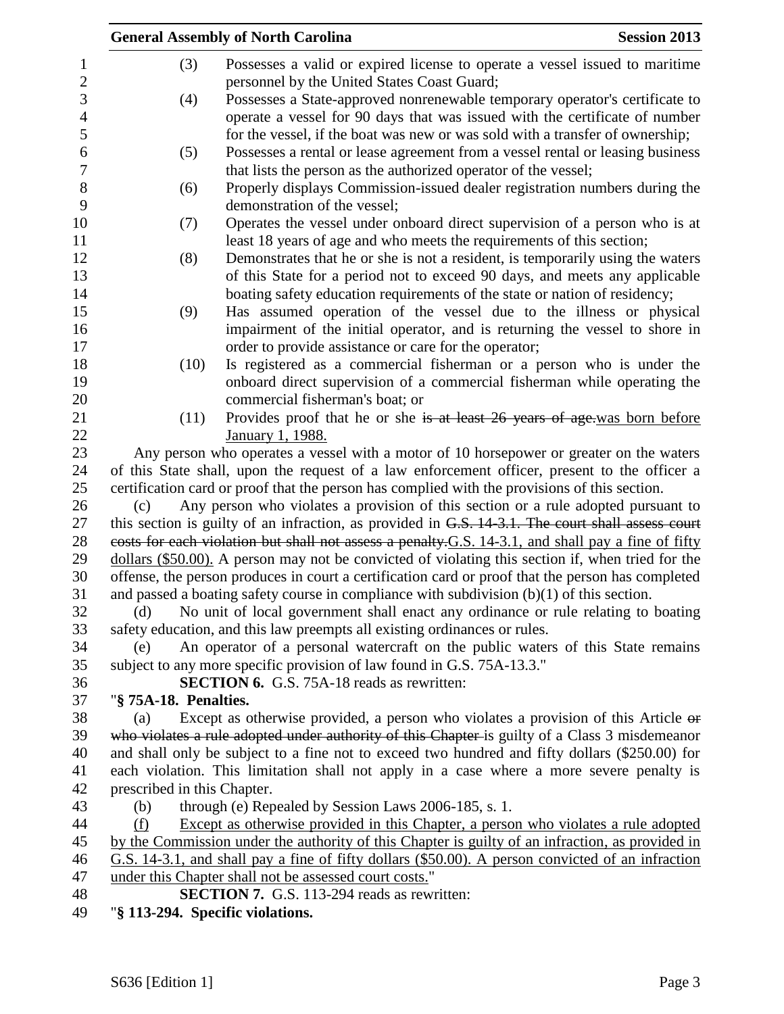|                             |      | <b>General Assembly of North Carolina</b>                                                                                                           | <b>Session 2013</b> |
|-----------------------------|------|-----------------------------------------------------------------------------------------------------------------------------------------------------|---------------------|
|                             | (3)  | Possesses a valid or expired license to operate a vessel issued to maritime                                                                         |                     |
|                             |      | personnel by the United States Coast Guard;                                                                                                         |                     |
|                             | (4)  | Possesses a State-approved nonrenewable temporary operator's certificate to                                                                         |                     |
|                             |      | operate a vessel for 90 days that was issued with the certificate of number                                                                         |                     |
|                             |      | for the vessel, if the boat was new or was sold with a transfer of ownership;                                                                       |                     |
|                             | (5)  | Possesses a rental or lease agreement from a vessel rental or leasing business                                                                      |                     |
|                             |      | that lists the person as the authorized operator of the vessel;                                                                                     |                     |
|                             |      |                                                                                                                                                     |                     |
|                             | (6)  | Properly displays Commission-issued dealer registration numbers during the<br>demonstration of the vessel;                                          |                     |
|                             | (7)  | Operates the vessel under onboard direct supervision of a person who is at<br>least 18 years of age and who meets the requirements of this section; |                     |
|                             | (8)  | Demonstrates that he or she is not a resident, is temporarily using the waters                                                                      |                     |
|                             |      | of this State for a period not to exceed 90 days, and meets any applicable                                                                          |                     |
|                             |      | boating safety education requirements of the state or nation of residency;                                                                          |                     |
|                             | (9)  | Has assumed operation of the vessel due to the illness or physical                                                                                  |                     |
|                             |      | impairment of the initial operator, and is returning the vessel to shore in                                                                         |                     |
|                             |      | order to provide assistance or care for the operator;                                                                                               |                     |
|                             | (10) | Is registered as a commercial fisherman or a person who is under the                                                                                |                     |
|                             |      | onboard direct supervision of a commercial fisherman while operating the                                                                            |                     |
|                             |      | commercial fisherman's boat; or                                                                                                                     |                     |
|                             | (11) | Provides proof that he or she is at least 26 years of age was born before                                                                           |                     |
|                             |      | January 1, 1988.                                                                                                                                    |                     |
|                             |      | Any person who operates a vessel with a motor of 10 horsepower or greater on the waters                                                             |                     |
|                             |      | of this State shall, upon the request of a law enforcement officer, present to the officer a                                                        |                     |
|                             |      | certification card or proof that the person has complied with the provisions of this section.                                                       |                     |
| (c)                         |      | Any person who violates a provision of this section or a rule adopted pursuant to                                                                   |                     |
|                             |      | this section is guilty of an infraction, as provided in G.S. 14-3.1. The court shall assess court                                                   |                     |
|                             |      | costs for each violation but shall not assess a penalty-G.S. 14-3.1, and shall pay a fine of fifty                                                  |                     |
|                             |      | dollars (\$50.00). A person may not be convicted of violating this section if, when tried for the                                                   |                     |
|                             |      | offense, the person produces in court a certification card or proof that the person has completed                                                   |                     |
|                             |      | and passed a boating safety course in compliance with subdivision $(b)(1)$ of this section.                                                         |                     |
| (d)                         |      | No unit of local government shall enact any ordinance or rule relating to boating                                                                   |                     |
|                             |      | safety education, and this law preempts all existing ordinances or rules.                                                                           |                     |
| (e)                         |      |                                                                                                                                                     |                     |
|                             |      | An operator of a personal watercraft on the public waters of this State remains                                                                     |                     |
|                             |      | subject to any more specific provision of law found in G.S. 75A-13.3."<br><b>SECTION 6.</b> G.S. 75A-18 reads as rewritten:                         |                     |
| "§ 75A-18. Penalties.       |      |                                                                                                                                                     |                     |
|                             |      |                                                                                                                                                     |                     |
| (a)                         |      | Except as otherwise provided, a person who violates a provision of this Article or                                                                  |                     |
|                             |      | who violates a rule adopted under authority of this Chapter-is guilty of a Class 3 misdemeanor                                                      |                     |
|                             |      | and shall only be subject to a fine not to exceed two hundred and fifty dollars (\$250.00) for                                                      |                     |
|                             |      | each violation. This limitation shall not apply in a case where a more severe penalty is                                                            |                     |
| prescribed in this Chapter. |      |                                                                                                                                                     |                     |
| (b)                         |      | through (e) Repealed by Session Laws 2006-185, s. 1.                                                                                                |                     |
| (f)                         |      | Except as otherwise provided in this Chapter, a person who violates a rule adopted                                                                  |                     |
|                             |      | by the Commission under the authority of this Chapter is guilty of an infraction, as provided in                                                    |                     |
|                             |      | G.S. 14-3.1, and shall pay a fine of fifty dollars (\$50.00). A person convicted of an infraction                                                   |                     |
|                             |      | under this Chapter shall not be assessed court costs."                                                                                              |                     |
|                             |      | <b>SECTION 7.</b> G.S. 113-294 reads as rewritten:                                                                                                  |                     |
|                             |      | "§ 113-294. Specific violations.                                                                                                                    |                     |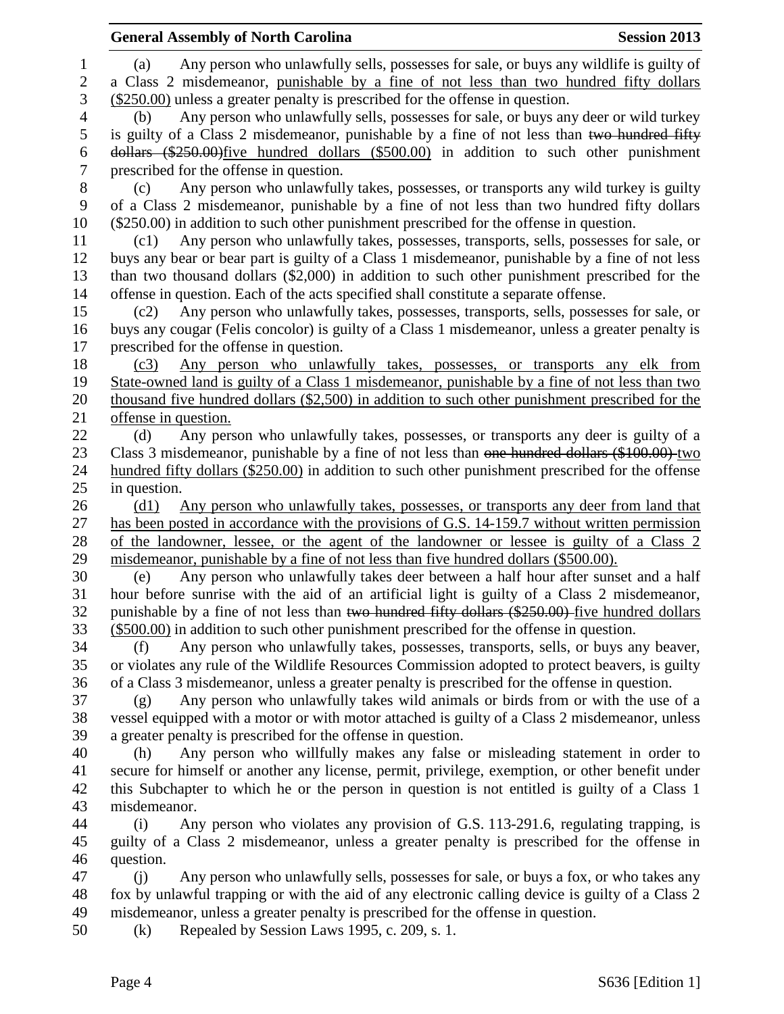|                | <b>General Assembly of North Carolina</b>                                                                                                                                                 | <b>Session 2013</b> |
|----------------|-------------------------------------------------------------------------------------------------------------------------------------------------------------------------------------------|---------------------|
| 1              | Any person who unlawfully sells, possesses for sale, or buys any wildlife is guilty of<br>(a)                                                                                             |                     |
| $\overline{2}$ | a Class 2 misdemeanor, punishable by a fine of not less than two hundred fifty dollars                                                                                                    |                     |
| 3              | (\$250.00) unless a greater penalty is prescribed for the offense in question.                                                                                                            |                     |
| $\overline{4}$ | Any person who unlawfully sells, possesses for sale, or buys any deer or wild turkey<br>(b)                                                                                               |                     |
| 5              | is guilty of a Class 2 misdemeanor, punishable by a fine of not less than two hundred fifty                                                                                               |                     |
| 6              | dollars (\$250.00) five hundred dollars (\$500.00) in addition to such other punishment                                                                                                   |                     |
| $\tau$         | prescribed for the offense in question.                                                                                                                                                   |                     |
| 8              | Any person who unlawfully takes, possesses, or transports any wild turkey is guilty<br>(c)                                                                                                |                     |
| 9              | of a Class 2 misdemeanor, punishable by a fine of not less than two hundred fifty dollars                                                                                                 |                     |
| 10             | (\$250.00) in addition to such other punishment prescribed for the offense in question.                                                                                                   |                     |
| 11             | Any person who unlawfully takes, possesses, transports, sells, possesses for sale, or<br>(c1)                                                                                             |                     |
| 12             | buys any bear or bear part is guilty of a Class 1 misdemeanor, punishable by a fine of not less                                                                                           |                     |
| 13             | than two thousand dollars (\$2,000) in addition to such other punishment prescribed for the                                                                                               |                     |
| 14             | offense in question. Each of the acts specified shall constitute a separate offense.                                                                                                      |                     |
| 15             | Any person who unlawfully takes, possesses, transports, sells, possesses for sale, or<br>(c2)                                                                                             |                     |
| 16             | buys any cougar (Felis concolor) is guilty of a Class 1 misdemeanor, unless a greater penalty is                                                                                          |                     |
| 17             | prescribed for the offense in question.                                                                                                                                                   |                     |
| 18             | Any person who unlawfully takes, possesses, or transports any elk from<br>(c3)                                                                                                            |                     |
| 19             | State-owned land is guilty of a Class 1 misdemeanor, punishable by a fine of not less than two                                                                                            |                     |
| 20             | thousand five hundred dollars (\$2,500) in addition to such other punishment prescribed for the                                                                                           |                     |
| 21             | offense in question.                                                                                                                                                                      |                     |
| 22             | Any person who unlawfully takes, possesses, or transports any deer is guilty of a<br>(d)                                                                                                  |                     |
| 23             | Class 3 misdemeanor, punishable by a fine of not less than one hundred dollars (\$100.00) two                                                                                             |                     |
| 24             | hundred fifty dollars (\$250.00) in addition to such other punishment prescribed for the offense                                                                                          |                     |
| 25             | in question.                                                                                                                                                                              |                     |
| 26             | Any person who unlawfully takes, possesses, or transports any deer from land that<br>(d1)                                                                                                 |                     |
| 27<br>28       | has been posted in accordance with the provisions of G.S. 14-159.7 without written permission<br>of the landowner, lessee, or the agent of the landowner or lessee is guilty of a Class 2 |                     |
| 29             | misdemeanor, punishable by a fine of not less than five hundred dollars (\$500.00).                                                                                                       |                     |
| 30             | Any person who unlawfully takes deer between a half hour after sunset and a half<br>(e)                                                                                                   |                     |
| 31             | hour before sunrise with the aid of an artificial light is guilty of a Class 2 misdemeanor,                                                                                               |                     |
| 32             | punishable by a fine of not less than two hundred fifty dollars (\$250.00) five hundred dollars                                                                                           |                     |
| 33             | $($500.00)$ in addition to such other punishment prescribed for the offense in question.                                                                                                  |                     |
| 34             | Any person who unlawfully takes, possesses, transports, sells, or buys any beaver,<br>(f)                                                                                                 |                     |
| 35             | or violates any rule of the Wildlife Resources Commission adopted to protect beavers, is guilty                                                                                           |                     |
| 36             | of a Class 3 misdemeanor, unless a greater penalty is prescribed for the offense in question.                                                                                             |                     |
| 37             | Any person who unlawfully takes wild animals or birds from or with the use of a<br>(g)                                                                                                    |                     |
| 38             | vessel equipped with a motor or with motor attached is guilty of a Class 2 misdemeanor, unless                                                                                            |                     |
| 39             | a greater penalty is prescribed for the offense in question.                                                                                                                              |                     |
| 40             | Any person who willfully makes any false or misleading statement in order to<br>(h)                                                                                                       |                     |
| 41             | secure for himself or another any license, permit, privilege, exemption, or other benefit under                                                                                           |                     |
| 42             | this Subchapter to which he or the person in question is not entitled is guilty of a Class 1                                                                                              |                     |
| 43             | misdemeanor.                                                                                                                                                                              |                     |
| 44             | Any person who violates any provision of G.S. 113-291.6, regulating trapping, is<br>(i)                                                                                                   |                     |
| 45             | guilty of a Class 2 misdemeanor, unless a greater penalty is prescribed for the offense in                                                                                                |                     |
| 46             | question.                                                                                                                                                                                 |                     |
| 47             | Any person who unlawfully sells, possesses for sale, or buys a fox, or who takes any<br>(i)                                                                                               |                     |
| 48             | fox by unlawful trapping or with the aid of any electronic calling device is guilty of a Class 2                                                                                          |                     |
| 49             | misdemeanor, unless a greater penalty is prescribed for the offense in question.                                                                                                          |                     |
| 50             | Repealed by Session Laws 1995, c. 209, s. 1.<br>(k)                                                                                                                                       |                     |